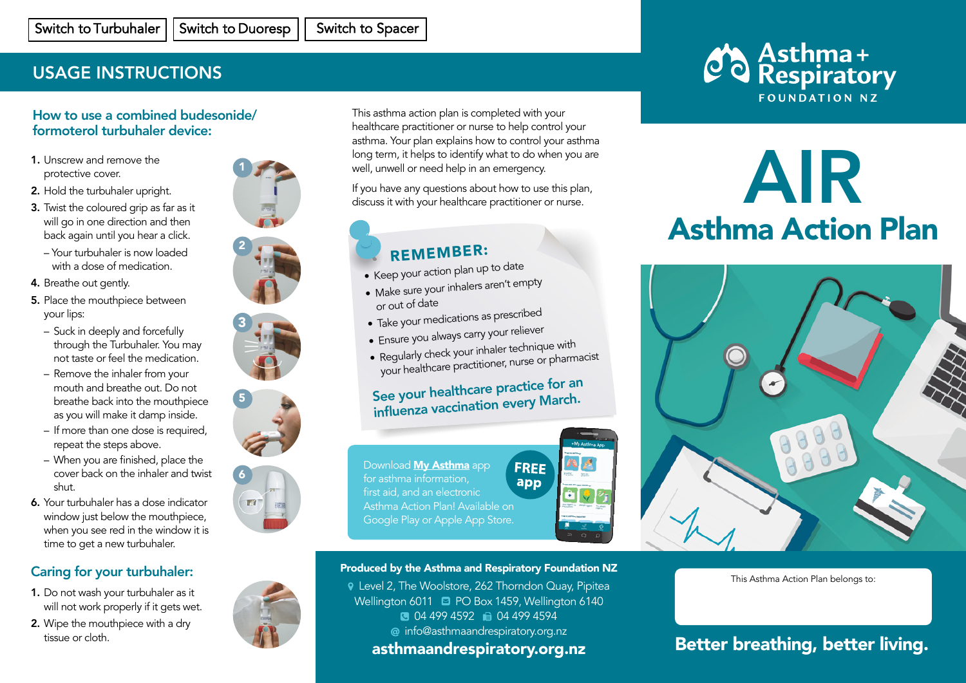# USAGE INSTRUCTIONS

# How to use a combined budesonide/ formoterol turbuhaler device:

- 1. Unscrew and remove the protective cover.
- 2. Hold the turbuhaler upright.
- **3.** Twist the coloured grip as far as it will go in one direction and then back again until you hear a click.
- Your turbuhaler is now loaded with a dose of medication.
- 4. Breathe out gently.
- 5. Place the mouthpiece between your lips: the spacer. breather out through your section. **5.** Place the mouthpiece between
- Suck in deeply and forcefully pack in dooply and rerectally<br>through the Turbuhaler. You may anough the furburater. Touring
- Remove the inhaler from your mouth and breathe out. Do not breathe back into the mouthpiece as you will make it damp inside.
- as you will make it damp inside.<br>If more than one dose is required, repeat the steps above. - If more than one dose is requii
- When you are finished, place the cover back on the inhaler and twist shut.
- 6. Your turbuhaler has a dose indicator window just below the mouthpiece, when you see red in the window it is when you see really are whitewith the with your see really after whitewith  $\frac{1}{2}$ and to get a new tanoanaier. time to get a new turbuhaler.

### Caring for your turbuhaler: your Spiromax if it is damaged or

- **1.** Do not wash your turbuhaler as it will not work properly if it gets wet.
- 2. Wipe the mouthpiece with a dry tissue or cloth.









This asthma action plan is completed with your healthcare practitioner or nurse to help control your asthma. Your plan explains how to control your asthma **2. 3.** long term, it helps to identify what to do when you are well, unwell or need help in an emergency.

If you have any questions about how to use this plan, discuss it with your healthcare practitioner or nurse. **2. 3.**

# REMEMBER:

- Keep your action plan up to date **6.**
- Make sure your inhalers aren't empty or out of date
- Take your medications as prescribed
- Ensure you always carry your reliever **6.**
- Ensure you allow your inhaler technique with<br>• Regularly check your inhaler technique with
- your healthcare practitioner, nurse or pharmacist

# See your healthcare practice for an influenza vaccination every March.

Download **My Asthma** app for asthma information, first aid, and an electronic Asthma Action Plan! Available on Google Play or Apple App Store.



### Produced by the Asthma and Respiratory Foundation NZ

 Level 2, The Woolstore, 262 Thorndon Quay, Pipitea Wellington 6011 **D** PO Box 1459, Wellington 6140 **10 04 499 4592 10 04 499 4594** info@asthmaandrespiratory.org.nz

# asthmaandrespiratory.org.nz



# AIR Asthma Action Plan



This Asthma Action Plan belongs to:

# Better breathing, better living.